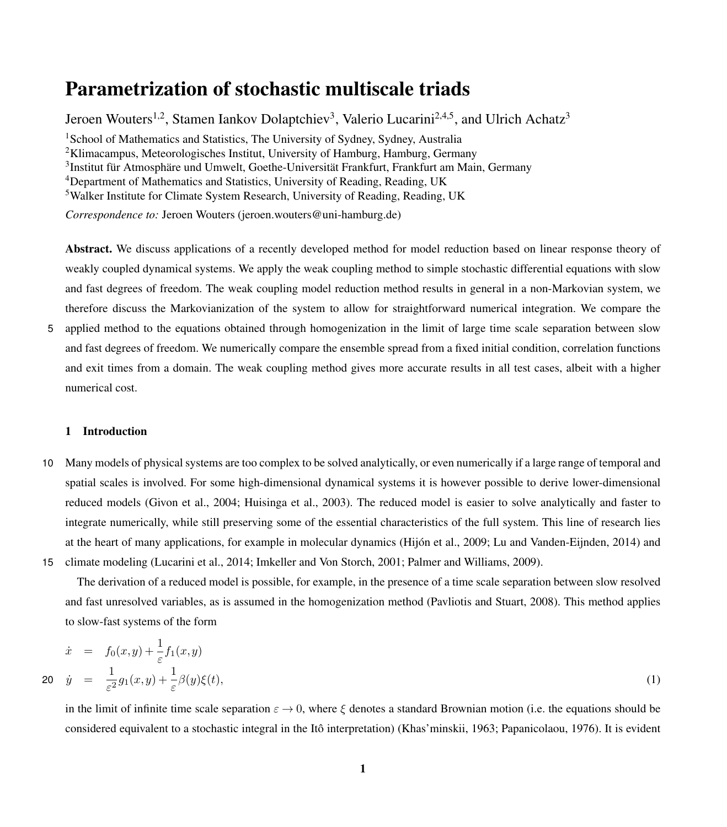# Parametrization of stochastic multiscale triads

Jeroen Wouters<sup>1,2</sup>, Stamen Iankov Dolaptchiev<sup>3</sup>, Valerio Lucarini<sup>2,4,5</sup>, and Ulrich Achatz<sup>3</sup> <sup>1</sup>School of Mathematics and Statistics, The University of Sydney, Sydney, Australia <sup>2</sup>Klimacampus, Meteorologisches Institut, University of Hamburg, Hamburg, Germany 3 Institut für Atmosphäre und Umwelt, Goethe-Universität Frankfurt, Frankfurt am Main, Germany <sup>4</sup>Department of Mathematics and Statistics, University of Reading, Reading, UK <sup>5</sup>Walker Institute for Climate System Research, University of Reading, Reading, UK *Correspondence to:* Jeroen Wouters (jeroen.wouters@uni-hamburg.de)

Abstract. We discuss applications of a recently developed method for model reduction based on linear response theory of weakly coupled dynamical systems. We apply the weak coupling method to simple stochastic differential equations with slow and fast degrees of freedom. The weak coupling model reduction method results in general in a non-Markovian system, we therefore discuss the Markovianization of the system to allow for straightforward numerical integration. We compare the

5 applied method to the equations obtained through homogenization in the limit of large time scale separation between slow and fast degrees of freedom. We numerically compare the ensemble spread from a fixed initial condition, correlation functions and exit times from a domain. The weak coupling method gives more accurate results in all test cases, albeit with a higher numerical cost.

### 1 Introduction

10 Many models of physical systems are too complex to be solved analytically, or even numerically if a large range of temporal and spatial scales is involved. For some high-dimensional dynamical systems it is however possible to derive lower-dimensional reduced models [\(Givon et al., 2004;](#page-17-0) [Huisinga et al., 2003\)](#page-17-1). The reduced model is easier to solve analytically and faster to integrate numerically, while still preserving some of the essential characteristics of the full system. This line of research lies at the heart of many applications, for example in molecular dynamics [\(Hijón et al., 2009;](#page-17-2) [Lu and Vanden-Eijnden, 2014\)](#page-18-0) and 15 climate modeling [\(Lucarini et al., 2014;](#page-18-1) [Imkeller and Von Storch, 2001;](#page-17-3) [Palmer and Williams, 2009\)](#page-18-2).

The derivation of a reduced model is possible, for example, in the presence of a time scale separation between slow resolved and fast unresolved variables, as is assumed in the homogenization method [\(Pavliotis and Stuart, 2008\)](#page-18-3). This method applies to slow-fast systems of the form

<span id="page-0-0"></span>
$$
\dot{x} = f_0(x, y) + \frac{1}{\varepsilon} f_1(x, y)
$$
  
20 
$$
\dot{y} = \frac{1}{\varepsilon^2} g_1(x, y) + \frac{1}{\varepsilon} \beta(y) \xi(t),
$$
 (1)

in the limit of infinite time scale separation  $\varepsilon \to 0$ , where  $\xi$  denotes a standard Brownian motion (i.e. the equations should be considered equivalent to a stochastic integral in the Itô interpretation) [\(Khas'minskii, 1963;](#page-18-4) [Papanicolaou, 1976\)](#page-18-5). It is evident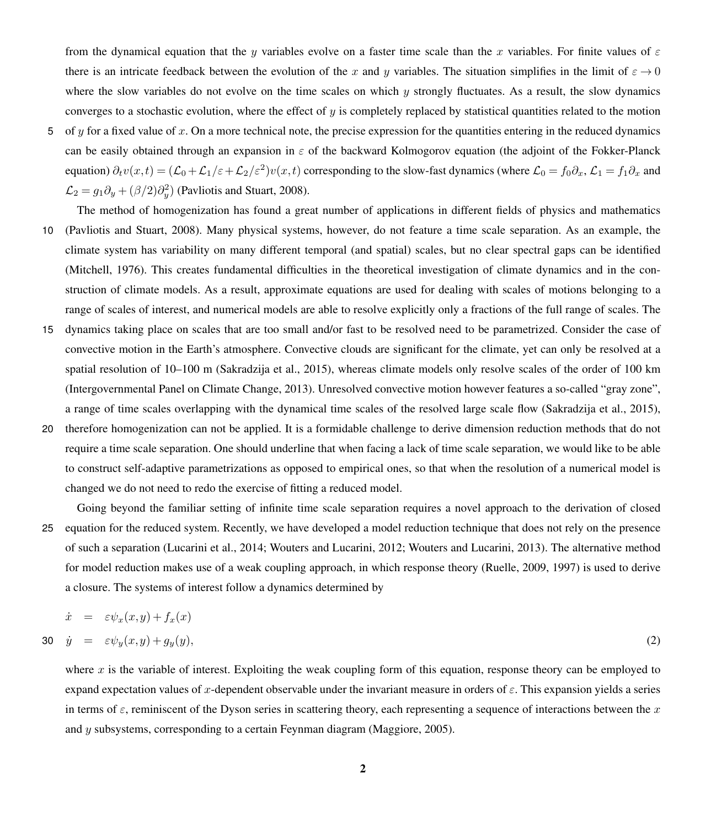from the dynamical equation that the y variables evolve on a faster time scale than the x variables. For finite values of  $\varepsilon$ there is an intricate feedback between the evolution of the x and y variables. The situation simplifies in the limit of  $\varepsilon \to 0$ where the slow variables do not evolve on the time scales on which  $y$  strongly fluctuates. As a result, the slow dynamics converges to a stochastic evolution, where the effect of  $y$  is completely replaced by statistical quantities related to the motion

- 5 of y for a fixed value of x. On a more technical note, the precise expression for the quantities entering in the reduced dynamics can be easily obtained through an expansion in  $\varepsilon$  of the backward Kolmogorov equation (the adjoint of the Fokker-Planck equation)  $\partial_t v(x,t) = (\mathcal{L}_0 + \mathcal{L}_1/\varepsilon + \mathcal{L}_2/\varepsilon^2)v(x,t)$  corresponding to the slow-fast dynamics (where  $\mathcal{L}_0 = f_0 \partial_x$ ,  $\mathcal{L}_1 = f_1 \partial_x$  and  $\mathcal{L}_2 = g_1 \partial_y + (\beta/2) \partial_y^2$  [\(Pavliotis and Stuart, 2008\)](#page-18-3).
- The method of homogenization has found a great number of applications in different fields of physics and mathematics 10 [\(Pavliotis and Stuart, 2008\)](#page-18-3). Many physical systems, however, do not feature a time scale separation. As an example, the climate system has variability on many different temporal (and spatial) scales, but no clear spectral gaps can be identified [\(Mitchell, 1976\)](#page-18-6). This creates fundamental difficulties in the theoretical investigation of climate dynamics and in the construction of climate models. As a result, approximate equations are used for dealing with scales of motions belonging to a range of scales of interest, and numerical models are able to resolve explicitly only a fractions of the full range of scales. The
- 15 dynamics taking place on scales that are too small and/or fast to be resolved need to be parametrized. Consider the case of convective motion in the Earth's atmosphere. Convective clouds are significant for the climate, yet can only be resolved at a spatial resolution of 10–100 m [\(Sakradzija et al., 2015\)](#page-18-7), whereas climate models only resolve scales of the order of 100 km [\(Intergovernmental Panel on Climate Change, 2013\)](#page-18-8). Unresolved convective motion however features a so-called "gray zone", a range of time scales overlapping with the dynamical time scales of the resolved large scale flow [\(Sakradzija et al., 2015\)](#page-18-7),
- 20 therefore homogenization can not be applied. It is a formidable challenge to derive dimension reduction methods that do not require a time scale separation. One should underline that when facing a lack of time scale separation, we would like to be able to construct self-adaptive parametrizations as opposed to empirical ones, so that when the resolution of a numerical model is changed we do not need to redo the exercise of fitting a reduced model.
- Going beyond the familiar setting of infinite time scale separation requires a novel approach to the derivation of closed 25 equation for the reduced system. Recently, we have developed a model reduction technique that does not rely on the presence of such a separation [\(Lucarini et al., 2014;](#page-18-1) [Wouters and Lucarini, 2012;](#page-18-9) [Wouters and Lucarini, 2013\)](#page-18-10). The alternative method for model reduction makes use of a weak coupling approach, in which response theory [\(Ruelle, 2009,](#page-18-11) [1997\)](#page-18-12) is used to derive a closure. The systems of interest follow a dynamics determined by

<span id="page-1-0"></span>
$$
\dot{x} = \varepsilon \psi_x(x, y) + f_x(x)
$$

$$
30 \quad \dot{y} = \varepsilon \psi_y(x, y) + g_y(y), \tag{2}
$$

where x is the variable of interest. Exploiting the weak coupling form of this equation, response theory can be employed to expand expectation values of x-dependent observable under the invariant measure in orders of  $\varepsilon$ . This expansion yields a series in terms of  $\varepsilon$ , reminiscent of the Dyson series in scattering theory, each representing a sequence of interactions between the x and y subsystems, corresponding to a certain Feynman diagram [\(Maggiore, 2005\)](#page-18-13).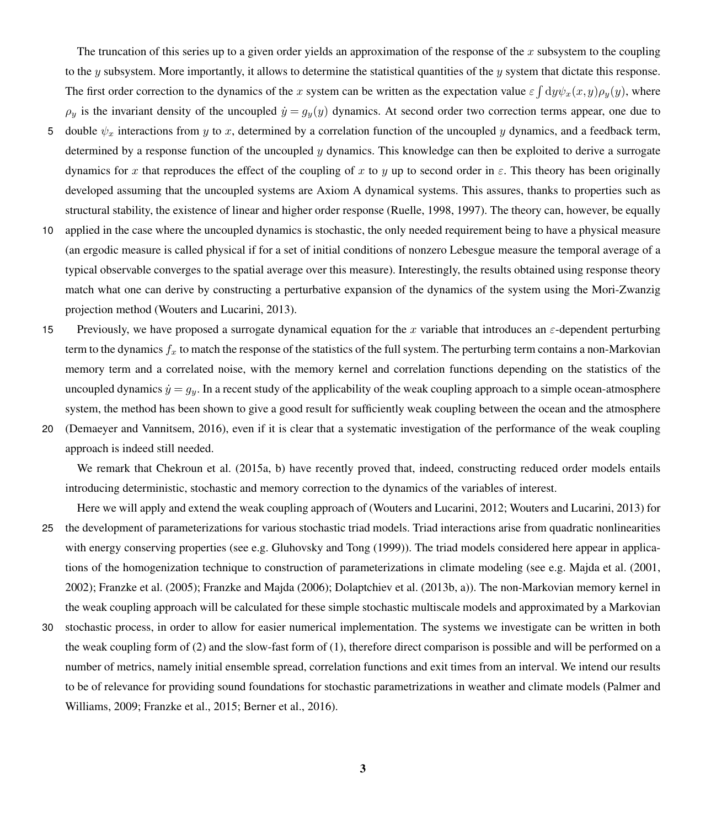The truncation of this series up to a given order yields an approximation of the response of the x subsystem to the coupling to the y subsystem. More importantly, it allows to determine the statistical quantities of the y system that dictate this response. The first order correction to the dynamics of the x system can be written as the expectation value  $\varepsilon \int dy \psi_x(x,y)\rho_y(y)$ , where  $\rho_y$  is the invariant density of the uncoupled  $\dot{y} = g_y(y)$  dynamics. At second order two correction terms appear, one due to

- 5 double  $\psi_x$  interactions from y to x, determined by a correlation function of the uncoupled y dynamics, and a feedback term, determined by a response function of the uncoupled  $\gamma$  dynamics. This knowledge can then be exploited to derive a surrogate dynamics for x that reproduces the effect of the coupling of x to y up to second order in  $\varepsilon$ . This theory has been originally developed assuming that the uncoupled systems are Axiom A dynamical systems. This assures, thanks to properties such as structural stability, the existence of linear and higher order response [\(Ruelle, 1998,](#page-18-14) [1997\)](#page-18-12). The theory can, however, be equally
- 10 applied in the case where the uncoupled dynamics is stochastic, the only needed requirement being to have a physical measure (an ergodic measure is called physical if for a set of initial conditions of nonzero Lebesgue measure the temporal average of a typical observable converges to the spatial average over this measure). Interestingly, the results obtained using response theory match what one can derive by constructing a perturbative expansion of the dynamics of the system using the Mori-Zwanzig projection method [\(Wouters and Lucarini, 2013\)](#page-18-10).
- 15 Previously, we have proposed a surrogate dynamical equation for the x variable that introduces an  $\varepsilon$ -dependent perturbing term to the dynamics  $f_x$  to match the response of the statistics of the full system. The perturbing term contains a non-Markovian memory term and a correlated noise, with the memory kernel and correlation functions depending on the statistics of the uncoupled dynamics  $\dot{y} = g_y$ . In a recent study of the applicability of the weak coupling approach to a simple ocean-atmosphere system, the method has been shown to give a good result for sufficiently weak coupling between the ocean and the atmosphere
- 20 [\(Demaeyer and Vannitsem, 2016\)](#page-17-4), even if it is clear that a systematic investigation of the performance of the weak coupling approach is indeed still needed.

We remark that [Chekroun et al.](#page-17-5) [\(2015a,](#page-17-5) [b\)](#page-17-6) have recently proved that, indeed, constructing reduced order models entails introducing deterministic, stochastic and memory correction to the dynamics of the variables of interest.

- Here we will apply and extend the weak coupling approach of [\(Wouters and Lucarini, 2012;](#page-18-9) [Wouters and Lucarini, 2013\)](#page-18-10) for 25 the development of parameterizations for various stochastic triad models. Triad interactions arise from quadratic nonlinearities with energy conserving properties (see e.g. [Gluhovsky and Tong](#page-17-7) [\(1999\)](#page-17-7)). The triad models considered here appear in applications of the homogenization technique to construction of parameterizations in climate modeling (see e.g. [Majda et al.](#page-18-15) [\(2001,](#page-18-15) [2002\)](#page-18-16); [Franzke et al.](#page-17-8) [\(2005\)](#page-17-8); [Franzke and Majda](#page-17-9) [\(2006\)](#page-17-9); [Dolaptchiev et al.](#page-17-10) [\(2013b,](#page-17-10) [a\)](#page-17-11)). The non-Markovian memory kernel in the weak coupling approach will be calculated for these simple stochastic multiscale models and approximated by a Markovian
- 30 stochastic process, in order to allow for easier numerical implementation. The systems we investigate can be written in both the weak coupling form of [\(2\)](#page-1-0) and the slow-fast form of [\(1\)](#page-0-0), therefore direct comparison is possible and will be performed on a number of metrics, namely initial ensemble spread, correlation functions and exit times from an interval. We intend our results [t](#page-18-2)o be of relevance for providing sound foundations for stochastic parametrizations in weather and climate models [\(Palmer and](#page-18-2) [Williams, 2009;](#page-18-2) [Franzke et al., 2015;](#page-17-12) [Berner et al., 2016\)](#page-17-13).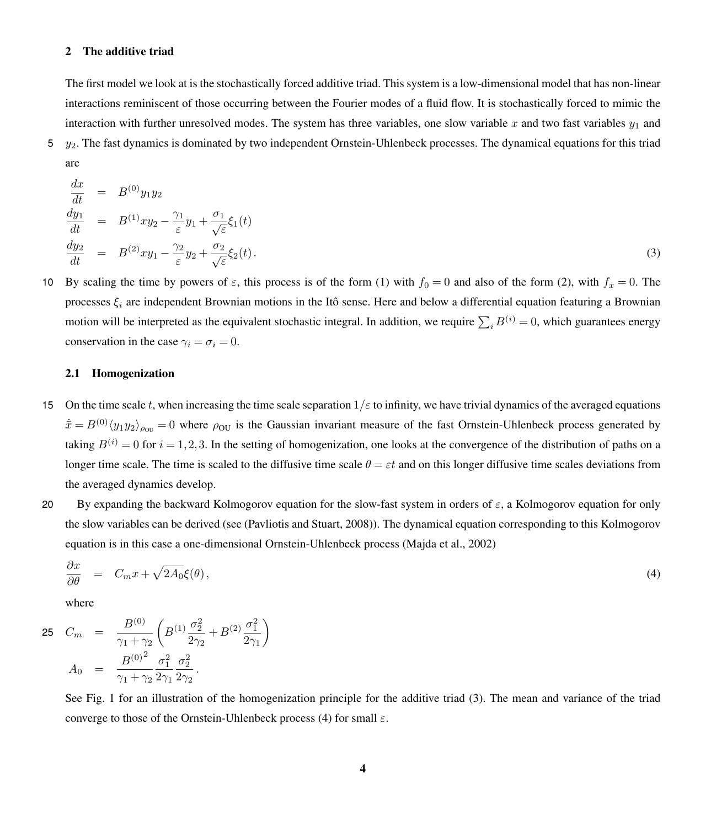#### 2 The additive triad

The first model we look at is the stochastically forced additive triad. This system is a low-dimensional model that has non-linear interactions reminiscent of those occurring between the Fourier modes of a fluid flow. It is stochastically forced to mimic the interaction with further unresolved modes. The system has three variables, one slow variable x and two fast variables  $y_1$  and

 $5y_2$ . The fast dynamics is dominated by two independent Ornstein-Uhlenbeck processes. The dynamical equations for this triad are

<span id="page-3-0"></span>
$$
\begin{array}{rcl}\n\frac{dx}{dt} & = & B^{(0)}y_1y_2 \\
\frac{dy_1}{dt} & = & B^{(1)}xy_2 - \frac{\gamma_1}{\varepsilon}y_1 + \frac{\sigma_1}{\sqrt{\varepsilon}}\xi_1(t) \\
\frac{dy_2}{dt} & = & B^{(2)}xy_1 - \frac{\gamma_2}{\varepsilon}y_2 + \frac{\sigma_2}{\sqrt{\varepsilon}}\xi_2(t).\n\end{array} \tag{3}
$$

10 By scaling the time by powers of  $\varepsilon$ , this process is of the form [\(1\)](#page-0-0) with  $f_0 = 0$  and also of the form [\(2\)](#page-1-0), with  $f_x = 0$ . The processes  $\xi_i$  are independent Brownian motions in the Itô sense. Here and below a differential equation featuring a Brownian motion will be interpreted as the equivalent stochastic integral. In addition, we require  $\sum_i B^{(i)} = 0$ , which guarantees energy conservation in the case  $\gamma_i = \sigma_i = 0$ .

#### 2.1 Homogenization

- 15 On the time scale t, when increasing the time scale separation  $1/\varepsilon$  to infinity, we have trivial dynamics of the averaged equations  $\dot{\bar{x}} = B^{(0)}\langle y_1y_2\rangle_{\rho_{0U}} = 0$  where  $\rho_{0U}$  is the Gaussian invariant measure of the fast Ornstein-Uhlenbeck process generated by taking  $B^{(i)} = 0$  for  $i = 1, 2, 3$ . In the setting of homogenization, one looks at the convergence of the distribution of paths on a longer time scale. The time is scaled to the diffusive time scale  $\theta = \varepsilon t$  and on this longer diffusive time scales deviations from the averaged dynamics develop.
- 20 By expanding the backward Kolmogorov equation for the slow-fast system in orders of  $\varepsilon$ , a Kolmogorov equation for only the slow variables can be derived (see [\(Pavliotis and Stuart, 2008\)](#page-18-3)). The dynamical equation corresponding to this Kolmogorov equation is in this case a one-dimensional Ornstein-Uhlenbeck process [\(Majda et al., 2002\)](#page-18-16)

<span id="page-3-1"></span>
$$
\frac{\partial x}{\partial \theta} = C_m x + \sqrt{2A_0} \xi(\theta), \tag{4}
$$

where

$$
25 \quad C_m = \frac{B^{(0)}}{\gamma_1 + \gamma_2} \left( B^{(1)} \frac{\sigma_2^2}{2\gamma_2} + B^{(2)} \frac{\sigma_1^2}{2\gamma_1} \right)
$$

$$
A_0 = \frac{B^{(0)^2}}{\gamma_1 + \gamma_2} \frac{\sigma_1^2}{2\gamma_1} \frac{\sigma_2^2}{2\gamma_2}.
$$

See Fig. [1](#page-4-0) for an illustration of the homogenization principle for the additive triad [\(3\)](#page-3-0). The mean and variance of the triad converge to those of the Ornstein-Uhlenbeck process [\(4\)](#page-3-1) for small  $\varepsilon$ .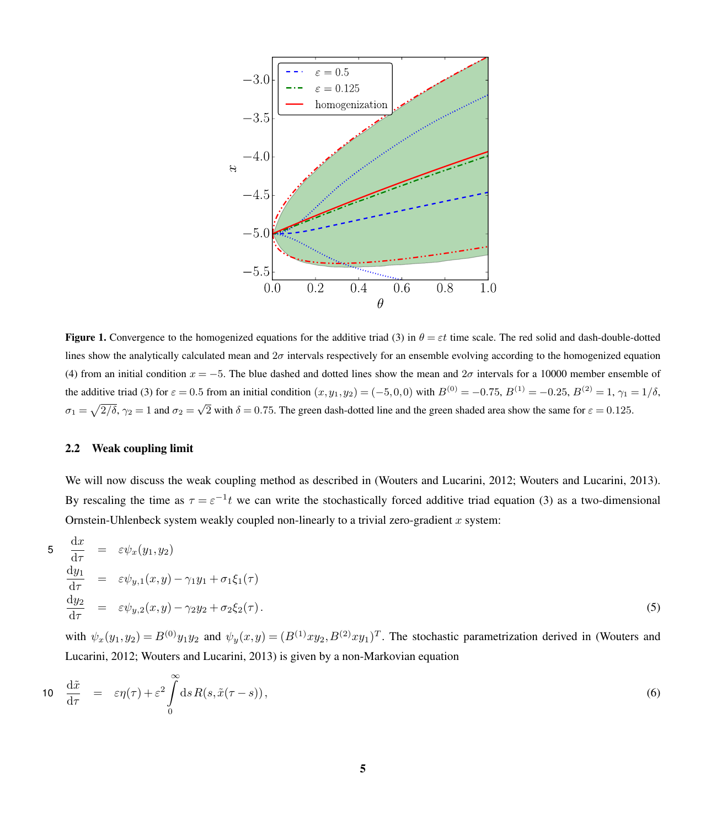<span id="page-4-0"></span>

**Figure 1.** Convergence to the homogenized equations for the additive triad [\(3\)](#page-3-0) in  $\theta = \varepsilon t$  time scale. The red solid and dash-double-dotted lines show the analytically calculated mean and  $2\sigma$  intervals respectively for an ensemble evolving according to the homogenized equation [\(4\)](#page-3-1) from an initial condition  $x = -5$ . The blue dashed and dotted lines show the mean and  $2\sigma$  intervals for a 10000 member ensemble of the additive triad [\(3\)](#page-3-0) for  $\varepsilon = 0.5$  from an initial condition  $(x, y_1, y_2) = (-5, 0, 0)$  with  $B^{(0)} = -0.75$ ,  $B^{(1)} = -0.25$ ,  $B^{(2)} = 1$ ,  $\gamma_1 = 1/\delta$ ,  $\sigma_1 = \sqrt{2/\delta}$ ,  $\gamma_2 = 1$  and  $\sigma_2 = \sqrt{2}$  with  $\delta = 0.75$ . The green dash-dotted line and the green shaded area show the same for  $\varepsilon = 0.125$ .

### 2.2 Weak coupling limit

We will now discuss the weak coupling method as described in [\(Wouters and Lucarini, 2012;](#page-18-9) [Wouters and Lucarini, 2013\)](#page-18-10). By rescaling the time as  $\tau = \varepsilon^{-1}t$  we can write the stochastically forced additive triad equation [\(3\)](#page-3-0) as a two-dimensional Ornstein-Uhlenbeck system weakly coupled non-linearly to a trivial zero-gradient  $x$  system:

$$
5\quad \frac{dx}{d\tau} = \varepsilon \psi_x(y_1, y_2)
$$
\n
$$
\frac{dy_1}{d\tau} = \varepsilon \psi_{y,1}(x, y) - \gamma_1 y_1 + \sigma_1 \xi_1(\tau)
$$
\n
$$
\frac{dy_2}{d\tau} = \varepsilon \psi_{y,2}(x, y) - \gamma_2 y_2 + \sigma_2 \xi_2(\tau).
$$
\n(5)

[w](#page-18-9)ith  $\psi_x(y_1, y_2) = B^{(0)}y_1y_2$  and  $\psi_y(x, y) = (B^{(1)}xy_2, B^{(2)}xy_1)^T$ . The stochastic parametrization derived in [\(Wouters and](#page-18-9) [Lucarini, 2012;](#page-18-9) [Wouters and Lucarini, 2013\)](#page-18-10) is given by a non-Markovian equation

<span id="page-4-1"></span>
$$
10 \quad \frac{\mathrm{d}\tilde{x}}{\mathrm{d}\tau} = \varepsilon \eta(\tau) + \varepsilon^2 \int_0^\infty \mathrm{d}s \, R(s, \tilde{x}(\tau - s)), \tag{6}
$$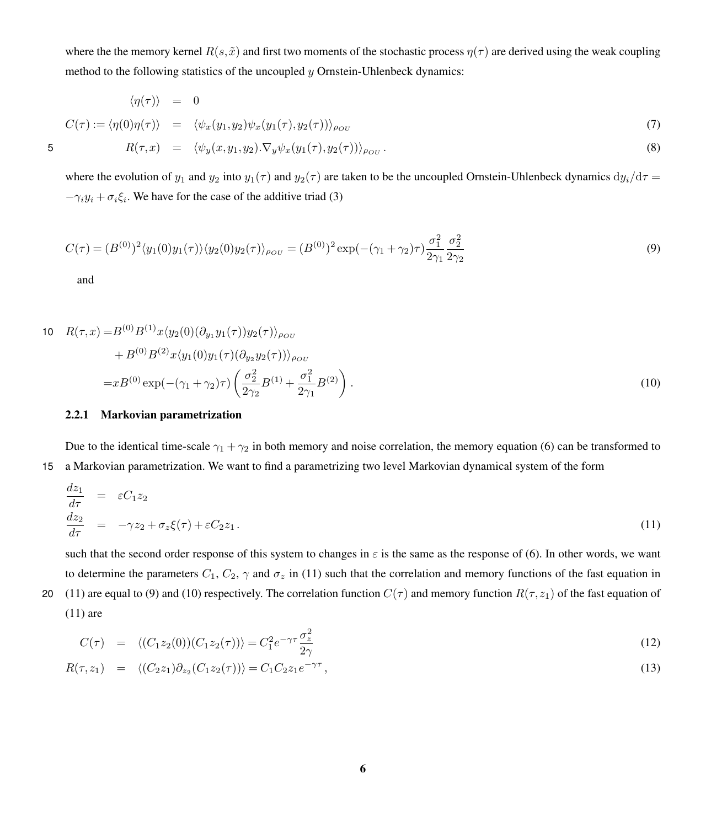<span id="page-5-3"></span>where the the memory kernel  $R(s, \tilde{x})$  and first two moments of the stochastic process  $\eta(\tau)$  are derived using the weak coupling method to the following statistics of the uncoupled  $\gamma$  Ornstein-Uhlenbeck dynamics:

$$
\langle \eta(\tau) \rangle = 0
$$
  
\n
$$
C(\tau) := \langle \eta(0)\eta(\tau) \rangle = \langle \psi_x(y_1, y_2)\psi_x(y_1(\tau), y_2(\tau)) \rangle_{\rho_{OU}}
$$
  
\n5 
$$
R(\tau, x) = \langle \psi_y(x, y_1, y_2) . \nabla_y \psi_x(y_1(\tau), y_2(\tau)) \rangle_{\rho_{OU}}.
$$
\n(8)

where the evolution of  $y_1$  and  $y_2$  into  $y_1(\tau)$  and  $y_2(\tau)$  are taken to be the uncoupled Ornstein-Uhlenbeck dynamics  $dy_i/d\tau =$  $-\gamma_i y_i + \sigma_i \xi_i$ . We have for the case of the additive triad [\(3\)](#page-3-0)

$$
C(\tau) = (B^{(0)})^2 \langle y_1(0)y_1(\tau) \rangle \langle y_2(0)y_2(\tau) \rangle_{\rho_{OU}} = (B^{(0)})^2 \exp\left(-(\gamma_1 + \gamma_2)\tau\right) \frac{\sigma_1^2}{2\gamma_1} \frac{\sigma_2^2}{2\gamma_2}
$$
\n<sup>(9)</sup>

<span id="page-5-2"></span><span id="page-5-1"></span>and

10 
$$
R(\tau, x) = B^{(0)} B^{(1)} x \langle y_2(0) (\partial_{y_1} y_1(\tau)) y_2(\tau) \rangle_{\rho_{OU}}
$$
  
\t\t\t $+ B^{(0)} B^{(2)} x \langle y_1(0) y_1(\tau) (\partial_{y_2} y_2(\tau)) \rangle_{\rho_{OU}}$   
\t\t\t $= x B^{(0)} \exp(-(\gamma_1 + \gamma_2)\tau) \left( \frac{\sigma_2^2}{2\gamma_2} B^{(1)} + \frac{\sigma_1^2}{2\gamma_1} B^{(2)} \right).$  (10)

#### 2.2.1 Markovian parametrization

Due to the identical time-scale  $\gamma_1 + \gamma_2$  in both memory and noise correlation, the memory equation [\(6\)](#page-4-1) can be transformed to 15 a Markovian parametrization. We want to find a parametrizing two level Markovian dynamical system of the form

<span id="page-5-0"></span>
$$
\frac{dz_1}{d\tau} = \varepsilon C_1 z_2
$$
\n
$$
\frac{dz_2}{d\tau} = -\gamma z_2 + \sigma_z \xi(\tau) + \varepsilon C_2 z_1.
$$
\n(11)

such that the second order response of this system to changes in  $\varepsilon$  is the same as the response of [\(6\)](#page-4-1). In other words, we want to determine the parameters  $C_1$ ,  $C_2$ ,  $\gamma$  and  $\sigma_z$  in [\(11\)](#page-5-0) such that the correlation and memory functions of the fast equation in 20 [\(11\)](#page-5-0) are equal to [\(9\)](#page-5-1) and [\(10\)](#page-5-2) respectively. The correlation function  $C(\tau)$  and memory function  $R(\tau, z_1)$  of the fast equation of [\(11\)](#page-5-0) are

$$
C(\tau) = \langle (C_1 z_2(0)) (C_1 z_2(\tau)) \rangle = C_1^2 e^{-\gamma \tau} \frac{\sigma_z^2}{2\gamma}
$$
\n(12)

$$
R(\tau, z_1) = \langle (C_2 z_1) \partial_{z_2} (C_1 z_2(\tau)) \rangle = C_1 C_2 z_1 e^{-\gamma \tau}, \qquad (13)
$$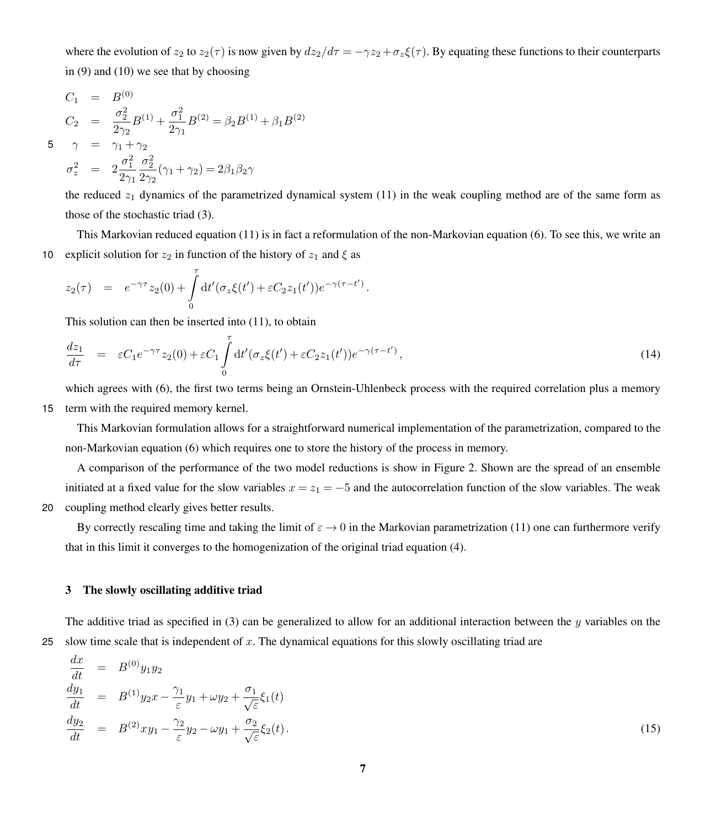where the evolution of  $z_2$  to  $z_2(\tau)$  is now given by  $dz_2/d\tau = -\gamma z_2 + \sigma_z \xi(\tau)$ . By equating these functions to their counterparts in [\(9\)](#page-5-1) and [\(10\)](#page-5-2) we see that by choosing

$$
C_1 = B^{(0)}
$$
  
\n
$$
C_2 = \frac{\sigma_2^2}{2\gamma_2} B^{(1)} + \frac{\sigma_1^2}{2\gamma_1} B^{(2)} = \beta_2 B^{(1)} + \beta_1 B^{(2)}
$$
  
\n5 
$$
\gamma = \gamma_1 + \gamma_2
$$

$$
\sigma_z^2 \;\; = \;\; 2\frac{\sigma_1^2}{2\gamma_1}\frac{\sigma_2^2}{2\gamma_2}(\gamma_1+\gamma_2) = 2\beta_1\beta_2\gamma
$$

the reduced  $z_1$  dynamics of the parametrized dynamical system [\(11\)](#page-5-0) in the weak coupling method are of the same form as those of the stochastic triad [\(3\)](#page-3-0).

This Markovian reduced equation [\(11\)](#page-5-0) is in fact a reformulation of the non-Markovian equation [\(6\)](#page-4-1). To see this, we write an 10 explicit solution for  $z_2$  in function of the history of  $z_1$  and  $\xi$  as

$$
z_2(\tau) = e^{-\gamma \tau} z_2(0) + \int_0^{\tau} dt' (\sigma_z \xi(t') + \varepsilon C_2 z_1(t')) e^{-\gamma(\tau - t')}
$$

This solution can then be inserted into [\(11\)](#page-5-0), to obtain

$$
\frac{dz_1}{d\tau} = \varepsilon C_1 e^{-\gamma \tau} z_2(0) + \varepsilon C_1 \int_0^{\tau} dt' (\sigma_z \xi(t') + \varepsilon C_2 z_1(t')) e^{-\gamma(\tau - t')}, \tag{14}
$$

.

which agrees with [\(6\)](#page-4-1), the first two terms being an Ornstein-Uhlenbeck process with the required correlation plus a memory 15 term with the required memory kernel.

This Markovian formulation allows for a straightforward numerical implementation of the parametrization, compared to the non-Markovian equation [\(6\)](#page-4-1) which requires one to store the history of the process in memory.

A comparison of the performance of the two model reductions is show in Figure [2.](#page-7-0) Shown are the spread of an ensemble initiated at a fixed value for the slow variables  $x = z_1 = -5$  and the autocorrelation function of the slow variables. The weak 20 coupling method clearly gives better results.

By correctly rescaling time and taking the limit of  $\varepsilon \to 0$  in the Markovian parametrization [\(11\)](#page-5-0) one can furthermore verify that in this limit it converges to the homogenization of the original triad equation [\(4\)](#page-3-1).

## 3 The slowly oscillating additive triad

The additive triad as specified in [\(3\)](#page-3-0) can be generalized to allow for an additional interaction between the y variables on the 25 slow time scale that is independent of x. The dynamical equations for this slowly oscillating triad are

<span id="page-6-0"></span>
$$
\begin{array}{rcl}\n\frac{dx}{dt} & = & B^{(0)}y_1y_2 \\
\frac{dy_1}{dt} & = & B^{(1)}y_2x - \frac{\gamma_1}{\varepsilon}y_1 + \omega y_2 + \frac{\sigma_1}{\sqrt{\varepsilon}}\xi_1(t) \\
\frac{dy_2}{dt} & = & B^{(2)}xy_1 - \frac{\gamma_2}{\varepsilon}y_2 - \omega y_1 + \frac{\sigma_2}{\sqrt{\varepsilon}}\xi_2(t).\n\end{array} \tag{15}
$$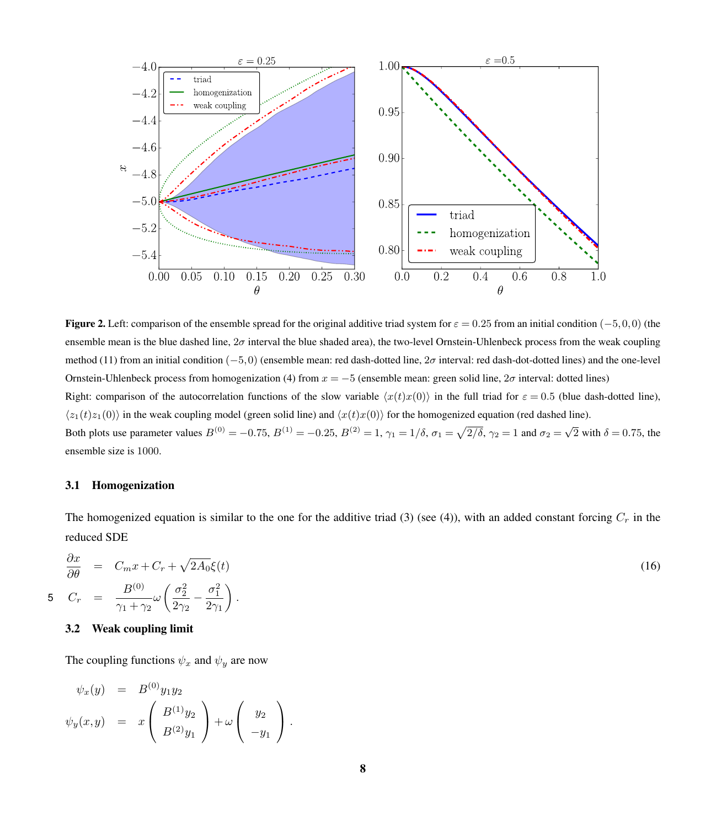<span id="page-7-0"></span>

**Figure 2.** Left: comparison of the ensemble spread for the original additive triad system for  $\varepsilon = 0.25$  from an initial condition (−5,0,0) (the ensemble mean is the blue dashed line,  $2\sigma$  interval the blue shaded area), the two-level Ornstein-Uhlenbeck process from the weak coupling method [\(11\)](#page-5-0) from an initial condition  $(-5,0)$  (ensemble mean: red dash-dotted line, 2 $\sigma$  interval: red dash-dot-dotted lines) and the one-level Ornstein-Uhlenbeck process from homogenization [\(4\)](#page-3-1) from  $x = -5$  (ensemble mean: green solid line,  $2\sigma$  interval: dotted lines) Right: comparison of the autocorrelation functions of the slow variable  $\langle x(t)x(0) \rangle$  in the full triad for  $\varepsilon = 0.5$  (blue dash-dotted line),  $\langle z_1(t)z_1(0)\rangle$  in the weak coupling model (green solid line) and  $\langle x(t)x(0)\rangle$  for the homogenized equation (red dashed line). Both plots use parameter values  $B^{(0)} = -0.75$ ,  $B^{(1)} = -0.25$ ,  $B^{(2)} = 1$ ,  $\gamma_1 = 1/\delta$ ,  $\sigma_1 = \sqrt{2/\delta}$ ,  $\gamma_2 = 1$  and  $\sigma_2 = \sqrt{2}$  with  $\delta = 0.75$ , the ensemble size is 1000.

### 3.1 Homogenization

The homogenized equation is similar to the one for the additive triad [\(3\)](#page-3-0) (see [\(4\)](#page-3-1)), with an added constant forcing  $C_r$  in the reduced SDE

<span id="page-7-1"></span>
$$
\frac{\partial x}{\partial \theta} = C_m x + C_r + \sqrt{2A_0} \xi(t)
$$
\n
$$
C_r = \frac{B^{(0)}}{\gamma_1 + \gamma_2} \omega \left( \frac{\sigma_2^2}{2\gamma_2} - \frac{\sigma_1^2}{2\gamma_1} \right).
$$
\n(16)

## 3.2 Weak coupling limit

The coupling functions  $\psi_x$  and  $\psi_y$  are now

$$
\psi_x(y) = B^{(0)}y_1y_2
$$
  

$$
\psi_y(x,y) = x \begin{pmatrix} B^{(1)}y_2 \\ B^{(2)}y_1 \end{pmatrix} + \omega \begin{pmatrix} y_2 \\ -y_1 \end{pmatrix}.
$$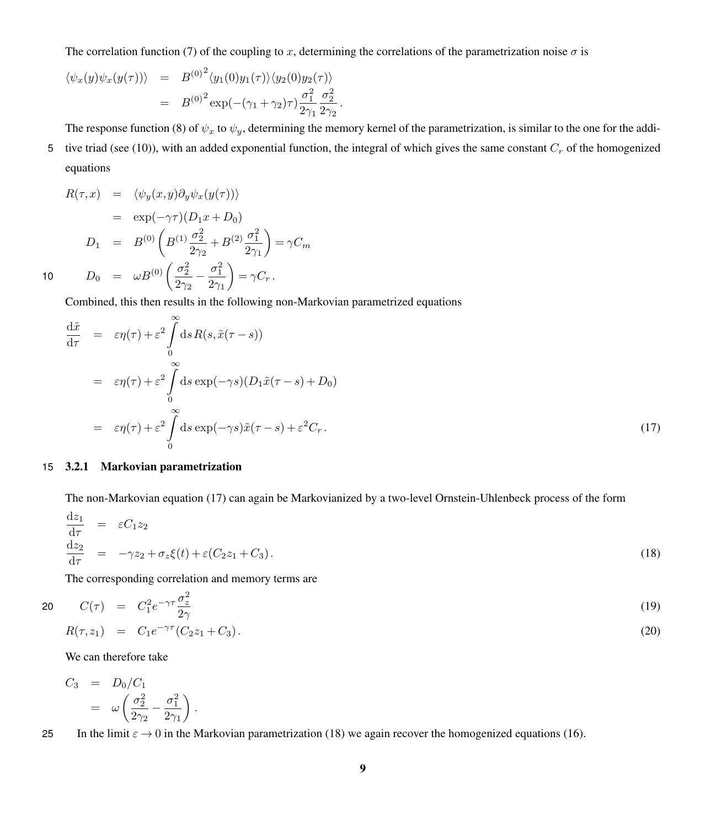The correlation function [\(7\)](#page-5-3) of the coupling to x, determining the correlations of the parametrization noise  $\sigma$  is

$$
\langle \psi_x(y)\psi_x(y(\tau)) \rangle = B^{(0)^2} \langle y_1(0)y_1(\tau) \rangle \langle y_2(0)y_2(\tau) \rangle = B^{(0)^2} \exp(-(\gamma_1 + \gamma_2)\tau) \frac{\sigma_1^2}{2\gamma_1} \frac{\sigma_2^2}{2\gamma_2}.
$$

The response function [\(8\)](#page-5-3) of  $\psi_x$  to  $\psi_y$ , determining the memory kernel of the parametrization, is similar to the one for the addi-5 tive triad (see [\(10\)](#page-5-2)), with an added exponential function, the integral of which gives the same constant  $C_r$  of the homogenized equations

$$
R(\tau, x) = \langle \psi_y(x, y) \partial_y \psi_x(y(\tau)) \rangle
$$
  
\n
$$
= \exp(-\gamma \tau) (D_1 x + D_0)
$$
  
\n
$$
D_1 = B^{(0)} \left( B^{(1)} \frac{\sigma_2^2}{2\gamma_2} + B^{(2)} \frac{\sigma_1^2}{2\gamma_1} \right) = \gamma C_m
$$
  
\n10 
$$
D_0 = \omega B^{(0)} \left( \frac{\sigma_2^2}{2\gamma_2} - \frac{\sigma_1^2}{2\gamma_1} \right) = \gamma C_r.
$$

Combined, this then results in the following non-Markovian parametrized equations

<span id="page-8-0"></span>
$$
\frac{d\tilde{x}}{d\tau} = \varepsilon \eta(\tau) + \varepsilon^2 \int_0^\infty ds R(s, \tilde{x}(\tau - s))
$$
\n
$$
= \varepsilon \eta(\tau) + \varepsilon^2 \int_0^\infty ds \exp(-\gamma s) (D_1 \tilde{x}(\tau - s) + D_0)
$$
\n
$$
= \varepsilon \eta(\tau) + \varepsilon^2 \int_0^\infty ds \exp(-\gamma s) \tilde{x}(\tau - s) + \varepsilon^2 C_r.
$$
\n(17)

## 15 3.2.1 Markovian parametrization

The non-Markovian equation [\(17\)](#page-8-0) can again be Markovianized by a two-level Ornstein-Uhlenbeck process of the form

<span id="page-8-1"></span>
$$
\frac{\mathrm{d}z_1}{\mathrm{d}\tau} = \varepsilon C_1 z_2
$$
\n
$$
\frac{\mathrm{d}z_2}{\mathrm{d}\tau} = -\gamma z_2 + \sigma_z \xi(t) + \varepsilon (C_2 z_1 + C_3). \tag{18}
$$

The corresponding correlation and memory terms are

20 
$$
C(\tau) = C_1^2 e^{-\gamma \tau} \frac{\sigma_z^2}{2\gamma}
$$
  
\n $R(\tau, z_1) = C_1 e^{-\gamma \tau} (C_2 z_1 + C_3).$  (19)

We can therefore take

$$
C_3 = D_0/C_1 = \omega \left( \frac{\sigma_2^2}{2\gamma_2} - \frac{\sigma_1^2}{2\gamma_1} \right).
$$

25 In the limit  $\varepsilon \to 0$  in the Markovian parametrization [\(18\)](#page-8-1) we again recover the homogenized equations [\(16\)](#page-7-1).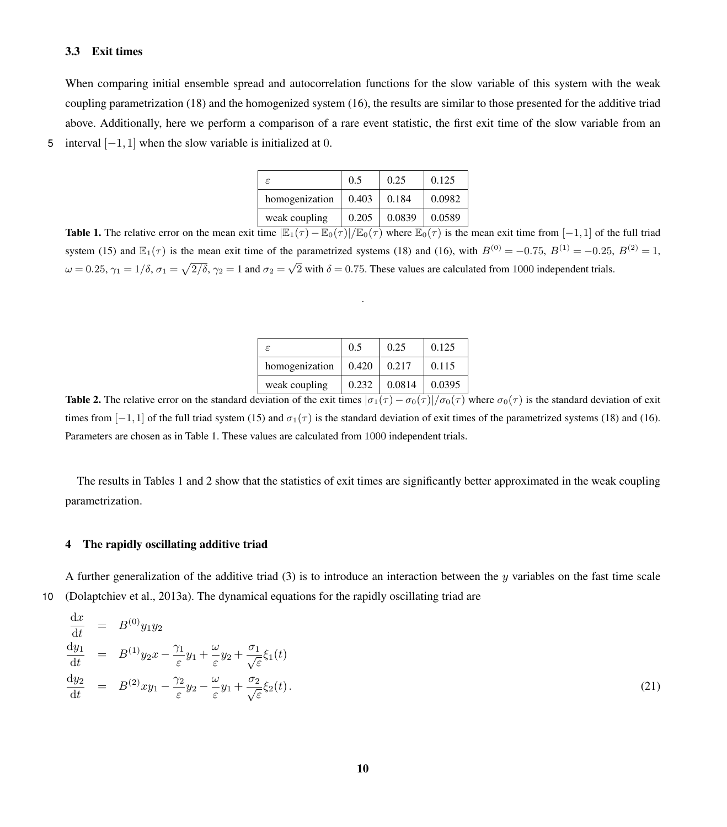#### <span id="page-9-3"></span>3.3 Exit times

When comparing initial ensemble spread and autocorrelation functions for the slow variable of this system with the weak coupling parametrization [\(18\)](#page-8-1) and the homogenized system [\(16\)](#page-7-1), the results are similar to those presented for the additive triad above. Additionally, here we perform a comparison of a rare event statistic, the first exit time of the slow variable from an 5 interval  $[-1,1]$  when the slow variable is initialized at 0.

| F              | 0.5   | 0.25   | 0.125  |
|----------------|-------|--------|--------|
| homogenization | 0.403 | 0.184  | 0.0982 |
| weak coupling  | 0.205 | 0.0839 | 0.0589 |

<span id="page-9-0"></span>**Table 1.** The relative error on the mean exit time  $\mathbb{E}_{1}(\tau) - \mathbb{E}_{0}(\tau)/\mathbb{E}_{0}(\tau)$  where  $\mathbb{E}_{0}(\tau)$  is the mean exit time from [−1,1] of the full triad system [\(15\)](#page-6-0) and  $\mathbb{E}_1(\tau)$  is the mean exit time of the parametrized systems [\(18\)](#page-8-1) and [\(16\)](#page-7-1), with  $B^{(0)} = -0.75$ ,  $B^{(1)} = -0.25$ ,  $B^{(2)} = 1$ ,  $ω = 0.25$ ,  $γ_1 = 1/δ$ ,  $σ_1 = \sqrt{2/δ}$ ,  $γ_2 = 1$  and  $σ_2 = \sqrt{2}$  with  $δ = 0.75$ . These values are calculated from 1000 independent trials.

.

| $\epsilon$     | 0.5   | 0.25   | 0.125  |
|----------------|-------|--------|--------|
| homogenization | 0.420 | 0.217  | 0.115  |
| weak coupling  | 0.232 | 0.0814 | 0.0395 |

<span id="page-9-1"></span>**Table 2.** The relative error on the standard deviation of the exit times  $|\sigma_1(\tau) - \sigma_0(\tau)|/\sigma_0(\tau)$  where  $\sigma_0(\tau)$  is the standard deviation of exit times from [-1,1] of the full triad system [\(15\)](#page-6-0) and  $\sigma_1(\tau)$  is the standard deviation of exit times of the parametrized systems [\(18\)](#page-8-1) and [\(16\)](#page-7-1). Parameters are chosen as in Table [1.](#page-9-0) These values are calculated from 1000 independent trials.

The results in Tables [1](#page-9-0) and [2](#page-9-1) show that the statistics of exit times are significantly better approximated in the weak coupling parametrization.

#### 4 The rapidly oscillating additive triad

A further generalization of the additive triad  $(3)$  is to introduce an interaction between the y variables on the fast time scale 10 [\(Dolaptchiev et al., 2013a\)](#page-17-11). The dynamical equations for the rapidly oscillating triad are

<span id="page-9-2"></span>
$$
\begin{array}{rcl}\n\frac{\mathrm{d}x}{\mathrm{d}t} &=& B^{(0)}y_1y_2\\
\frac{\mathrm{d}y_1}{\mathrm{d}t} &=& B^{(1)}y_2x - \frac{\gamma_1}{\varepsilon}y_1 + \frac{\omega}{\varepsilon}y_2 + \frac{\sigma_1}{\sqrt{\varepsilon}}\xi_1(t)\\
\frac{\mathrm{d}y_2}{\mathrm{d}t} &=& B^{(2)}xy_1 - \frac{\gamma_2}{\varepsilon}y_2 - \frac{\omega}{\varepsilon}y_1 + \frac{\sigma_2}{\sqrt{\varepsilon}}\xi_2(t).\n\end{array} \tag{21}
$$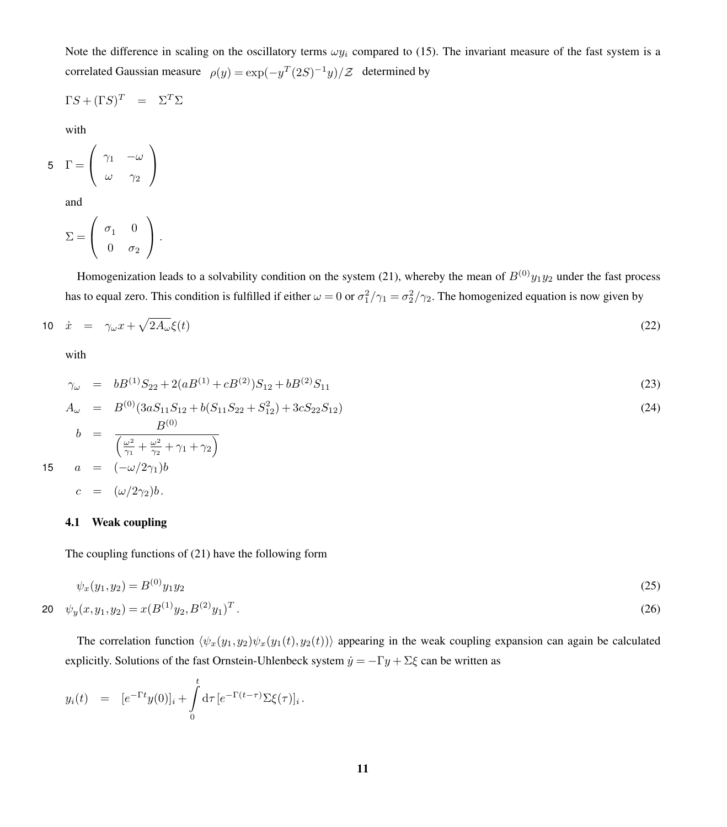Note the difference in scaling on the oscillatory terms  $\omega y_i$  compared to [\(15\)](#page-6-0). The invariant measure of the fast system is a correlated Gaussian measure  $\rho(y) = \exp(-y^T(2S)^{-1}y)/\mathcal{Z}$  determined by

$$
\Gamma S + (\Gamma S)^T = \Sigma^T \Sigma
$$

with

$$
5 \quad \Gamma = \left(\begin{array}{cc} \gamma_1 & -\omega \\ \omega & \gamma_2 \end{array}\right)
$$

and

$$
\Sigma = \left( \begin{array}{cc} \sigma_1 & 0 \\ 0 & \sigma_2 \end{array} \right).
$$

Homogenization leads to a solvability condition on the system [\(21\)](#page-9-2), whereby the mean of  $B^{(0)}y_1y_2$  under the fast process has to equal zero. This condition is fulfilled if either  $\omega = 0$  or  $\sigma_1^2/\gamma_1 = \sigma_2^2/\gamma_2$ . The homogenized equation is now given by

<span id="page-10-0"></span>
$$
10 \quad \dot{x} = \gamma_{\omega} x + \sqrt{2A_{\omega}} \xi(t) \tag{22}
$$

with

<span id="page-10-1"></span>
$$
\gamma_{\omega} = bB^{(1)}S_{22} + 2(aB^{(1)} + cB^{(2)})S_{12} + bB^{(2)}S_{11} \tag{23}
$$

$$
A_{\omega} = B^{(0)}(3aS_{11}S_{12} + b(S_{11}S_{22} + S_{12}^{2}) + 3cS_{22}S_{12})
$$
\n
$$
b = \frac{B^{(0)}}{\left(\frac{\omega^{2}}{\gamma_{1}} + \frac{\omega^{2}}{\gamma_{2}} + \gamma_{1} + \gamma_{2}\right)}
$$
\n
$$
a = (-\omega/2\gamma_{1})b
$$
\n
$$
c = (\omega/2\gamma_{2})b.
$$
\n(24)

#### 4.1 Weak coupling

The coupling functions of [\(21\)](#page-9-2) have the following form

$$
\psi_x(y_1, y_2) = B^{(0)} y_1 y_2 \tag{25}
$$

$$
20 \quad \psi_y(x, y_1, y_2) = x(B^{(1)}y_2, B^{(2)}y_1)^T. \tag{26}
$$

The correlation function  $\langle \psi_x(y_1,y_2)\psi_x(y_1(t),y_2(t))\rangle$  appearing in the weak coupling expansion can again be calculated explicitly. Solutions of the fast Ornstein-Uhlenbeck system  $\dot{y} = -\Gamma y + \Sigma \xi$  can be written as

$$
y_i(t) = [e^{-\Gamma t} y(0)]_i + \int_0^t d\tau \, [e^{-\Gamma(t-\tau)} \Sigma \xi(\tau)]_i.
$$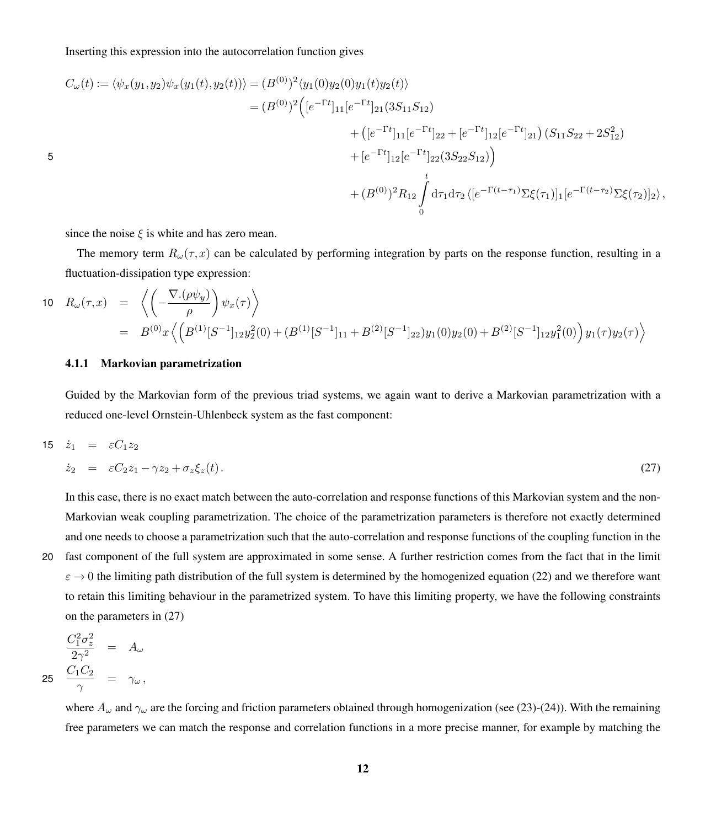$$
C_{\omega}(t) := \langle \psi_x(y_1, y_2) \psi_x(y_1(t), y_2(t)) \rangle = (B^{(0)})^2 \langle y_1(0) y_2(0) y_1(t) y_2(t) \rangle
$$
  
\n
$$
= (B^{(0)})^2 \Big( [e^{-\Gamma t}]_{11} [e^{-\Gamma t}]_{21} (3S_{11}S_{12})
$$
  
\n
$$
+ ([e^{-\Gamma t}]_{11} [e^{-\Gamma t}]_{22} + [e^{-\Gamma t}]_{12} [e^{-\Gamma t}]_{21}) (S_{11}S_{22} + 2S_{12}^2)
$$
  
\n
$$
+ [e^{-\Gamma t}]_{12} [e^{-\Gamma t}]_{22} (3S_{22}S_{12}) \Big)
$$
  
\n
$$
+ (B^{(0)})^2 R_{12} \int_0^t d\tau_1 d\tau_2 \langle [e^{-\Gamma (t-\tau_1)} \Sigma \xi(\tau_1)]_1 [e^{-\Gamma (t-\tau_2)} \Sigma \xi(\tau_2)]_2 \rangle,
$$

since the noise  $\xi$  is white and has zero mean.

5

The memory term  $R_\omega(\tau,x)$  can be calculated by performing integration by parts on the response function, resulting in a fluctuation-dissipation type expression:

$$
10 \quad R_{\omega}(\tau, x) = \left\langle \left( -\frac{\nabla \cdot (\rho \psi_y)}{\rho} \right) \psi_x(\tau) \right\rangle
$$
  
=  $B^{(0)}x \left\langle \left( B^{(1)}[S^{-1}]_{12} y_2^2(0) + (B^{(1)}[S^{-1}]_{11} + B^{(2)}[S^{-1}]_{22}) y_1(0) y_2(0) + B^{(2)}[S^{-1}]_{12} y_1^2(0) \right) y_1(\tau) y_2(\tau) \right\rangle$ 

### 4.1.1 Markovian parametrization

Guided by the Markovian form of the previous triad systems, we again want to derive a Markovian parametrization with a reduced one-level Ornstein-Uhlenbeck system as the fast component:

<span id="page-11-0"></span>
$$
15 \quad \dot{z}_1 = \varepsilon C_1 z_2
$$
\n
$$
\dot{z}_2 = \varepsilon C_2 z_1 - \gamma z_2 + \sigma_z \xi_z(t). \tag{27}
$$

In this case, there is no exact match between the auto-correlation and response functions of this Markovian system and the non-Markovian weak coupling parametrization. The choice of the parametrization parameters is therefore not exactly determined and one needs to choose a parametrization such that the auto-correlation and response functions of the coupling function in the

20 fast component of the full system are approximated in some sense. A further restriction comes from the fact that in the limit  $\varepsilon \to 0$  the limiting path distribution of the full system is determined by the homogenized equation [\(22\)](#page-10-0) and we therefore want to retain this limiting behaviour in the parametrized system. To have this limiting property, we have the following constraints on the parameters in [\(27\)](#page-11-0)

$$
\frac{C_1^2 \sigma_z^2}{2\gamma^2} = A_\omega
$$
  
25 
$$
\frac{C_1 C_2}{\gamma} = \gamma_\omega,
$$

where  $A_{\omega}$  and  $\gamma_{\omega}$  are the forcing and friction parameters obtained through homogenization (see [\(23\)](#page-10-1)-[\(24\)](#page-10-1)). With the remaining free parameters we can match the response and correlation functions in a more precise manner, for example by matching the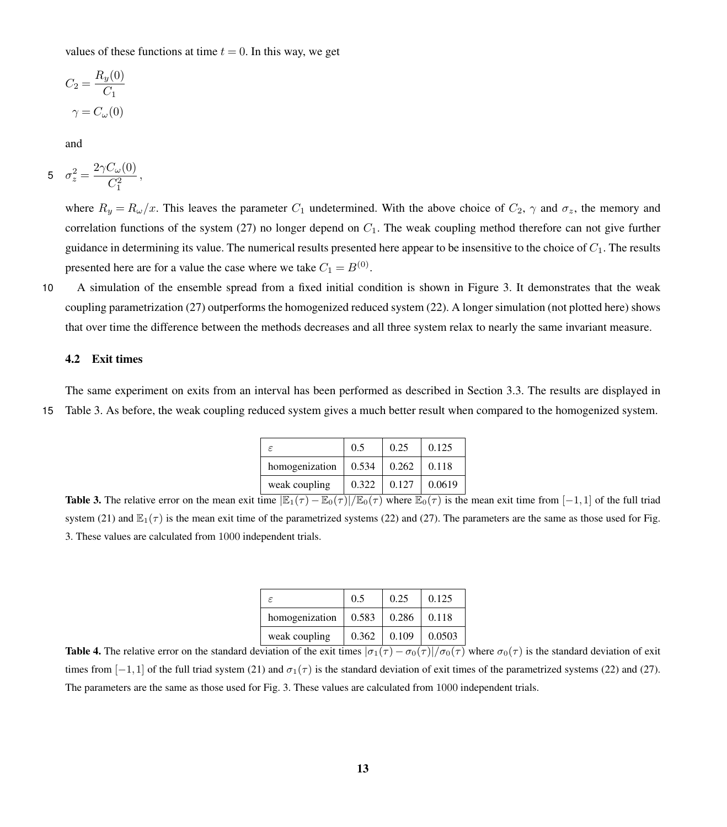values of these functions at time  $t = 0$ . In this way, we get

$$
C_2 = \frac{R_y(0)}{C_1}
$$

$$
\gamma = C_{\omega}(0)
$$

and

$$
5 \quad \sigma_z^2 = \frac{2\gamma C_\omega(0)}{C_1^2} \,,
$$

where  $R_y = R_\omega/x$ . This leaves the parameter  $C_1$  undetermined. With the above choice of  $C_2$ ,  $\gamma$  and  $\sigma_z$ , the memory and correlation functions of the system [\(27\)](#page-11-0) no longer depend on  $C_1$ . The weak coupling method therefore can not give further guidance in determining its value. The numerical results presented here appear to be insensitive to the choice of  $C_1$ . The results presented here are for a value the case where we take  $C_1 = B^{(0)}$ .

10 A simulation of the ensemble spread from a fixed initial condition is shown in Figure [3.](#page-13-0) It demonstrates that the weak coupling parametrization [\(27\)](#page-11-0) outperforms the homogenized reduced system [\(22\)](#page-10-0). A longer simulation (not plotted here) shows that over time the difference between the methods decreases and all three system relax to nearly the same invariant measure.

#### 4.2 Exit times

<span id="page-12-0"></span>The same experiment on exits from an interval has been performed as described in Section [3.3.](#page-9-3) The results are displayed in 15 Table [3.](#page-12-0) As before, the weak coupling reduced system gives a much better result when compared to the homogenized system.

| F.             | 0.5   | 0.25  | 0.125  |
|----------------|-------|-------|--------|
| homogenization | 0.534 | 0.262 | 0.118  |
| weak coupling  | 0.322 | 0.127 | 0.0619 |

**Table 3.** The relative error on the mean exit time  $\mathbb{E}_1(\tau) - \mathbb{E}_0(\tau)/\mathbb{E}_0(\tau)$  where  $\mathbb{E}_0(\tau)$  is the mean exit time from [−1,1] of the full triad system [\(21\)](#page-9-2) and  $\mathbb{E}_1(\tau)$  is the mean exit time of the parametrized systems [\(22\)](#page-10-0) and [\(27\)](#page-11-0). The parameters are the same as those used for Fig. [3.](#page-13-0) These values are calculated from 1000 independent trials.

| F              | 0.5   | 0.25  | 0.125  |
|----------------|-------|-------|--------|
| homogenization | 0.583 | 0.286 | 0.118  |
| weak coupling  | 0.362 | 0.109 | 0.0503 |

**Table 4.** The relative error on the standard deviation of the exit times  $|\sigma_1(\tau) - \sigma_0(\tau)|/\sigma_0(\tau)$  where  $\sigma_0(\tau)$  is the standard deviation of exit times from [-1,1] of the full triad system [\(21\)](#page-9-2) and  $\sigma_1(\tau)$  is the standard deviation of exit times of the parametrized systems [\(22\)](#page-10-0) and [\(27\)](#page-11-0). The parameters are the same as those used for Fig. [3.](#page-13-0) These values are calculated from 1000 independent trials.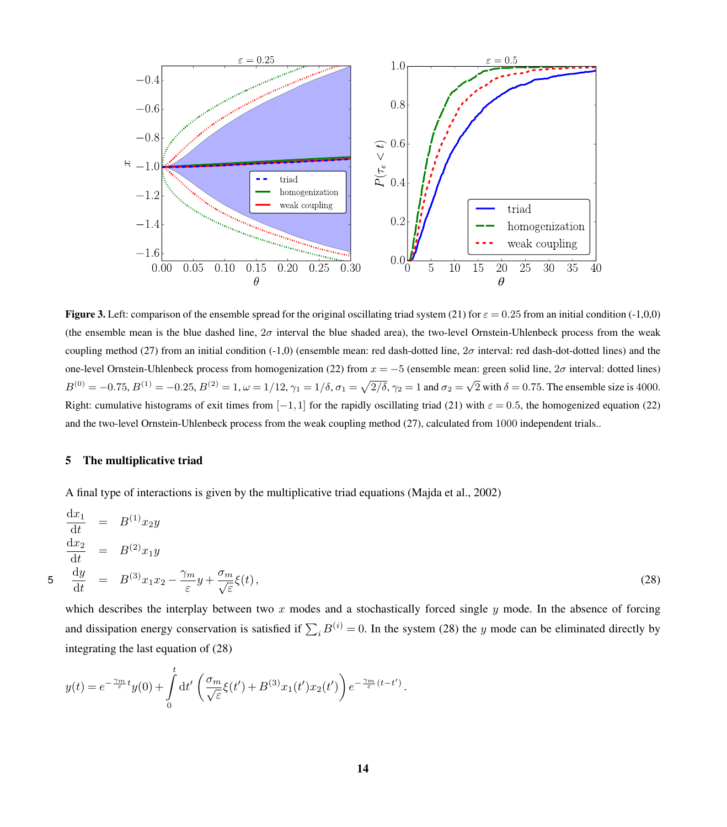<span id="page-13-0"></span>

**Figure 3.** Left: comparison of the ensemble spread for the original oscillating triad system [\(21\)](#page-9-2) for  $\varepsilon = 0.25$  from an initial condition (-1,0,0) (the ensemble mean is the blue dashed line,  $2\sigma$  interval the blue shaded area), the two-level Ornstein-Uhlenbeck process from the weak coupling method [\(27\)](#page-11-0) from an initial condition (-1,0) (ensemble mean: red dash-dotted line,  $2\sigma$  interval: red dash-dot-dotted lines) and the one-level Ornstein-Uhlenbeck process from homogenization [\(22\)](#page-10-0) from  $x = -5$  (ensemble mean: green solid line,  $2\sigma$  interval: dotted lines)  $B^{(0)} = -0.75, B^{(1)} = -0.25, B^{(2)} = 1, \omega = 1/12, \gamma_1 = 1/\delta, \sigma_1 = \sqrt{2/\delta}, \gamma_2 = 1$  and  $\sigma_2 = \sqrt{2}$  with  $\delta = 0.75$ . The ensemble size is 4000. Right: cumulative histograms of exit times from [-1,1] for the rapidly oscillating triad [\(21\)](#page-9-2) with  $\varepsilon = 0.5$ , the homogenized equation [\(22\)](#page-10-0) and the two-level Ornstein-Uhlenbeck process from the weak coupling method [\(27\)](#page-11-0), calculated from 1000 independent trials..

#### 5 The multiplicative triad

A final type of interactions is given by the multiplicative triad equations [\(Majda et al., 2002\)](#page-18-16)

<span id="page-13-1"></span>
$$
\begin{aligned}\n\frac{\mathrm{d}x_1}{\mathrm{d}t} &= B^{(1)}x_2y \\
\frac{\mathrm{d}x_2}{\mathrm{d}t} &= B^{(2)}x_1y \\
5 \quad \frac{\mathrm{d}y}{\mathrm{d}t} &= B^{(3)}x_1x_2 - \frac{\gamma_m}{\varepsilon}y + \frac{\sigma_m}{\sqrt{\varepsilon}}\xi(t),\n\end{aligned} \tag{28}
$$

which describes the interplay between two  $x$  modes and a stochastically forced single  $y$  mode. In the absence of forcing and dissipation energy conservation is satisfied if  $\sum_i B^{(i)} = 0$ . In the system [\(28\)](#page-13-1) the y mode can be eliminated directly by integrating the last equation of [\(28\)](#page-13-1)

<span id="page-13-2"></span>
$$
y(t) = e^{-\frac{\gamma_m}{\varepsilon}t}y(0) + \int_0^t dt' \left(\frac{\sigma_m}{\sqrt{\varepsilon}}\xi(t') + B^{(3)}x_1(t')x_2(t')\right)e^{-\frac{\gamma_m}{\varepsilon}(t-t')}.
$$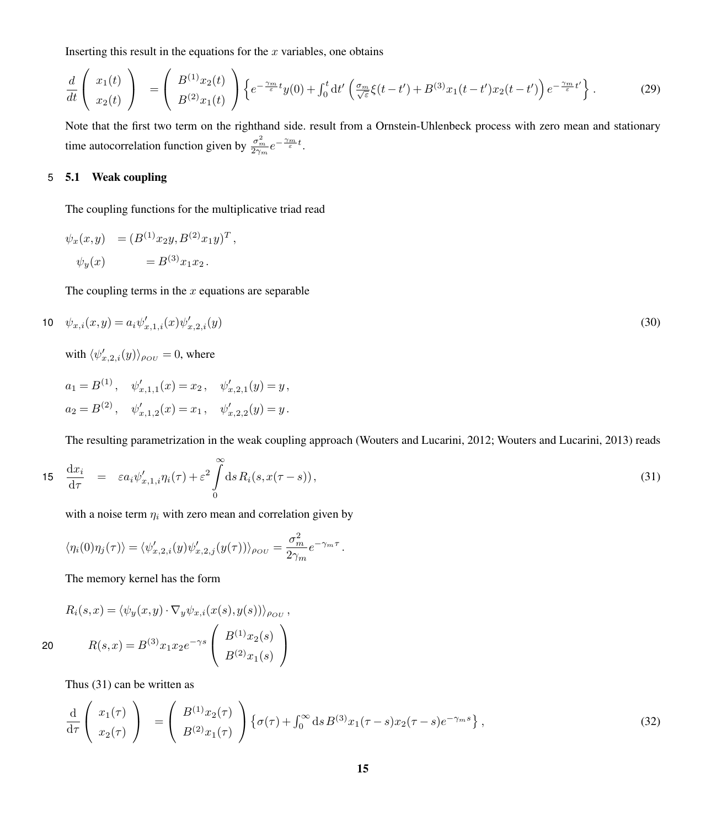Inserting this result in the equations for the  $x$  variables, one obtains

$$
\frac{d}{dt}\left(\begin{array}{c}x_1(t)\\x_2(t)\end{array}\right) = \left(\begin{array}{c}B^{(1)}x_2(t)\\B^{(2)}x_1(t)\end{array}\right)\left\{e^{-\frac{\gamma_m}{\varepsilon}t}y(0) + \int_0^t dt'\left(\frac{\sigma_m}{\sqrt{\varepsilon}}\xi(t-t') + B^{(3)}x_1(t-t')x_2(t-t')\right)e^{-\frac{\gamma_m}{\varepsilon}t'}\right\}.
$$
\n(29)

Note that the first two term on the righthand side. result from a Ornstein-Uhlenbeck process with zero mean and stationary time autocorrelation function given by  $\frac{\sigma_m^2}{2\gamma_m}e^{-\frac{\gamma_m}{\varepsilon}t}$ .

### 5 5.1 Weak coupling

The coupling functions for the multiplicative triad read

$$
\psi_x(x,y) = (B^{(1)}x_2y, B^{(2)}x_1y)^T,
$$
  

$$
\psi_y(x) = B^{(3)}x_1x_2.
$$

The coupling terms in the  $x$  equations are separable

$$
10 \quad \psi_{x,i}(x,y) = a_i \psi'_{x,1,i}(x) \psi'_{x,2,i}(y) \tag{30}
$$

with  $\langle \psi_{x,2,i}'(y) \rangle_{\rho_{OU}} = 0$ , where

$$
a_1 = B^{(1)}, \quad \psi'_{x,1,1}(x) = x_2, \quad \psi'_{x,2,1}(y) = y,
$$
  

$$
a_2 = B^{(2)}, \quad \psi'_{x,1,2}(x) = x_1, \quad \psi'_{x,2,2}(y) = y.
$$

The resulting parametrization in the weak coupling approach [\(Wouters and Lucarini, 2012;](#page-18-9) [Wouters and Lucarini, 2013\)](#page-18-10) reads

<span id="page-14-0"></span>
$$
15 \quad \frac{\mathrm{d}x_i}{\mathrm{d}\tau} = \varepsilon a_i \psi'_{x,1,i} \eta_i(\tau) + \varepsilon^2 \int\limits_0^\infty \mathrm{d}s \, R_i(s, x(\tau - s)), \tag{31}
$$

with a noise term  $\eta_i$  with zero mean and correlation given by

Z∞

$$
\langle \eta_i(0)\eta_j(\tau) \rangle = \langle \psi'_{x,2,i}(y)\psi'_{x,2,j}(y(\tau)) \rangle_{\rho_{OU}} = \frac{\sigma_m^2}{2\gamma_m} e^{-\gamma_m \tau}.
$$

The memory kernel has the form

$$
R_i(s,x) = \langle \psi_y(x,y) \cdot \nabla_y \psi_{x,i}(x(s),y(s)) \rangle_{\rho_{OU}},
$$
  
20 
$$
R(s,x) = B^{(3)}x_1x_2e^{-\gamma s} \left( \begin{array}{c} B^{(1)}x_2(s) \\ B^{(2)}x_1(s) \end{array} \right)
$$

Thus [\(31\)](#page-14-0) can be written as

<span id="page-14-1"></span>
$$
\frac{\mathrm{d}}{\mathrm{d}\tau}\left(\begin{array}{c}x_1(\tau)\\x_2(\tau)\end{array}\right) = \left(\begin{array}{c}B^{(1)}x_2(\tau)\\B^{(2)}x_1(\tau)\end{array}\right)\left\{\sigma(\tau) + \int_0^\infty \mathrm{d}s\,B^{(3)}x_1(\tau-s)x_2(\tau-s)e^{-\gamma_m s}\right\},\tag{32}
$$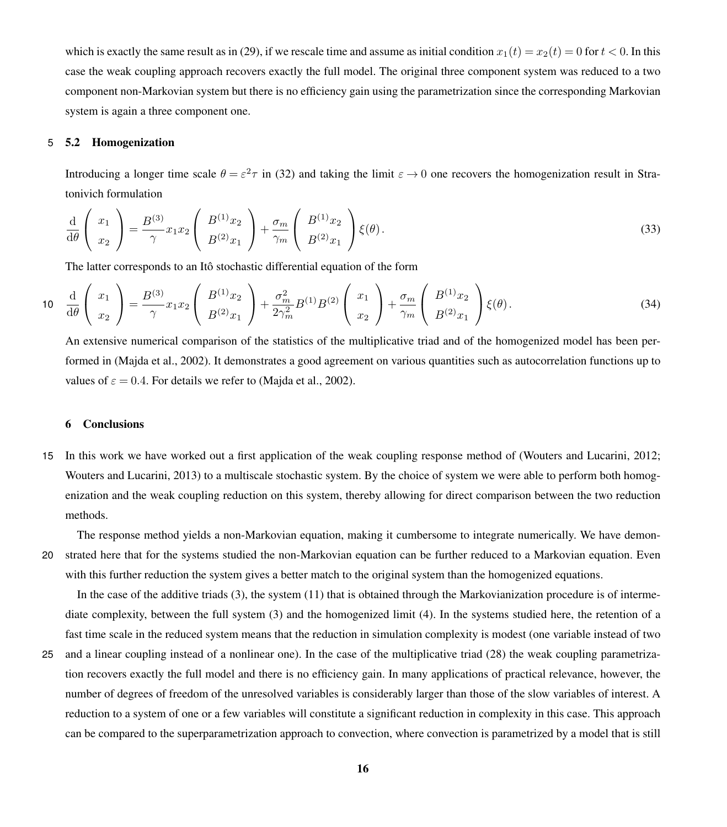which is exactly the same result as in [\(29\)](#page-13-2), if we rescale time and assume as initial condition  $x_1(t) = x_2(t) = 0$  for  $t < 0$ . In this case the weak coupling approach recovers exactly the full model. The original three component system was reduced to a two component non-Markovian system but there is no efficiency gain using the parametrization since the corresponding Markovian system is again a three component one.

### 5 5.2 Homogenization

Introducing a longer time scale  $\theta = \varepsilon^2 \tau$  in [\(32\)](#page-14-1) and taking the limit  $\varepsilon \to 0$  one recovers the homogenization result in Stratonivich formulation

$$
\frac{\mathrm{d}}{\mathrm{d}\theta} \left( \begin{array}{c} x_1 \\ x_2 \end{array} \right) = \frac{B^{(3)}}{\gamma} x_1 x_2 \left( \begin{array}{c} B^{(1)} x_2 \\ B^{(2)} x_1 \end{array} \right) + \frac{\sigma_m}{\gamma_m} \left( \begin{array}{c} B^{(1)} x_2 \\ B^{(2)} x_1 \end{array} \right) \xi(\theta). \tag{33}
$$

The latter corresponds to an Itô stochastic differential equation of the form

$$
10 \quad \frac{\mathrm{d}}{\mathrm{d}\theta} \left( \begin{array}{c} x_1 \\ x_2 \end{array} \right) = \frac{B^{(3)}}{\gamma} x_1 x_2 \left( \begin{array}{c} B^{(1)} x_2 \\ B^{(2)} x_1 \end{array} \right) + \frac{\sigma_m^2}{2\gamma_m^2} B^{(1)} B^{(2)} \left( \begin{array}{c} x_1 \\ x_2 \end{array} \right) + \frac{\sigma_m}{\gamma_m} \left( \begin{array}{c} B^{(1)} x_2 \\ B^{(2)} x_1 \end{array} \right) \xi(\theta). \tag{34}
$$

An extensive numerical comparison of the statistics of the multiplicative triad and of the homogenized model has been performed in [\(Majda et al., 2002\)](#page-18-16). It demonstrates a good agreement on various quantities such as autocorrelation functions up to values of  $\varepsilon = 0.4$ . For details we refer to [\(Majda et al., 2002\)](#page-18-16).

### 6 Conclusions

15 In this work we have worked out a first application of the weak coupling response method of [\(Wouters and Lucarini, 2012;](#page-18-9) [Wouters and Lucarini, 2013\)](#page-18-10) to a multiscale stochastic system. By the choice of system we were able to perform both homogenization and the weak coupling reduction on this system, thereby allowing for direct comparison between the two reduction methods.

The response method yields a non-Markovian equation, making it cumbersome to integrate numerically. We have demon-20 strated here that for the systems studied the non-Markovian equation can be further reduced to a Markovian equation. Even with this further reduction the system gives a better match to the original system than the homogenized equations.

In the case of the additive triads [\(3\)](#page-3-0), the system [\(11\)](#page-5-0) that is obtained through the Markovianization procedure is of intermediate complexity, between the full system [\(3\)](#page-3-0) and the homogenized limit [\(4\)](#page-3-1). In the systems studied here, the retention of a fast time scale in the reduced system means that the reduction in simulation complexity is modest (one variable instead of two

25 and a linear coupling instead of a nonlinear one). In the case of the multiplicative triad [\(28\)](#page-13-1) the weak coupling parametrization recovers exactly the full model and there is no efficiency gain. In many applications of practical relevance, however, the number of degrees of freedom of the unresolved variables is considerably larger than those of the slow variables of interest. A reduction to a system of one or a few variables will constitute a significant reduction in complexity in this case. This approach can be compared to the superparametrization approach to convection, where convection is parametrized by a model that is still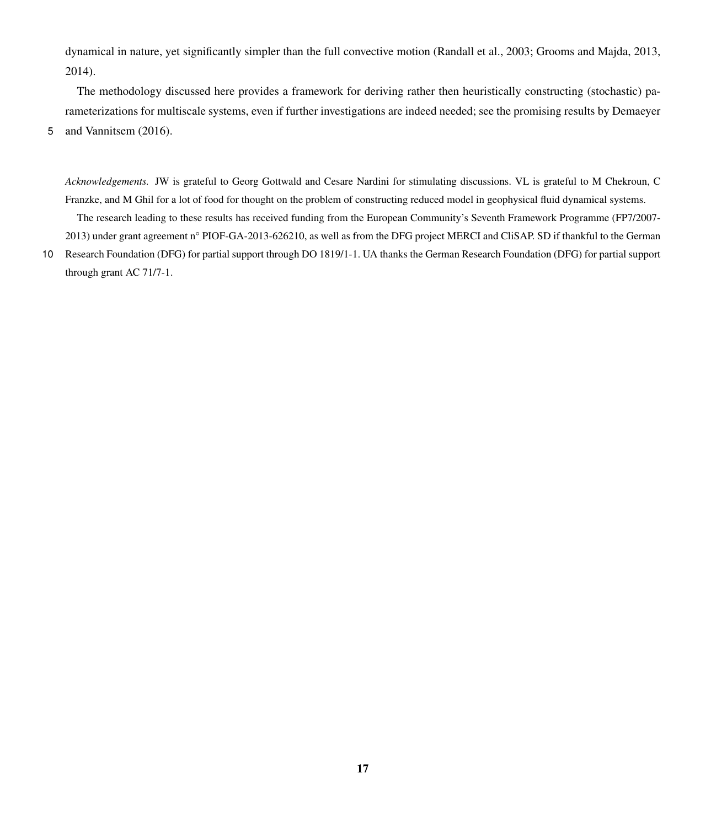dynamical in nature, yet significantly simpler than the full convective motion [\(Randall et al., 2003;](#page-18-17) [Grooms and Majda, 2013,](#page-17-14) [2014\)](#page-17-15).

The methodology discussed here provides a framework for deriving rather then heuristically constructing (stochastic) pa[r](#page-17-4)ameterizations for multiscale systems, even if further investigations are indeed needed; see the promising results by [Demaeyer](#page-17-4)

5 [and Vannitsem](#page-17-4) [\(2016\)](#page-17-4).

*Acknowledgements.* JW is grateful to Georg Gottwald and Cesare Nardini for stimulating discussions. VL is grateful to M Chekroun, C Franzke, and M Ghil for a lot of food for thought on the problem of constructing reduced model in geophysical fluid dynamical systems.

The research leading to these results has received funding from the European Community's Seventh Framework Programme (FP7/2007- 2013) under grant agreement n° PIOF-GA-2013-626210, as well as from the DFG project MERCI and CliSAP. SD if thankful to the German

<sup>10</sup> Research Foundation (DFG) for partial support through DO 1819/1-1. UA thanks the German Research Foundation (DFG) for partial support through grant AC 71/7-1.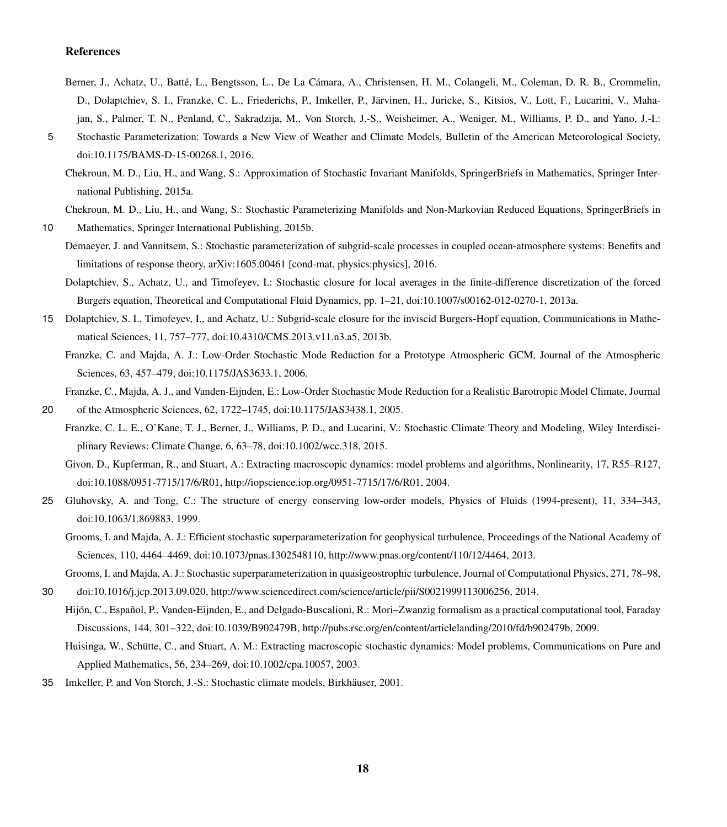#### References

- <span id="page-17-13"></span>Berner, J., Achatz, U., Batté, L., Bengtsson, L., De La Cámara, A., Christensen, H. M., Colangeli, M., Coleman, D. R. B., Crommelin, D., Dolaptchiev, S. I., Franzke, C. L., Friederichs, P., Imkeller, P., Järvinen, H., Juricke, S., Kitsios, V., Lott, F., Lucarini, V., Mahajan, S., Palmer, T. N., Penland, C., Sakradzija, M., Von Storch, J.-S., Weisheimer, A., Weniger, M., Williams, P. D., and Yano, J.-I.:
- <span id="page-17-5"></span>5 Stochastic Parameterization: Towards a New View of Weather and Climate Models, Bulletin of the American Meteorological Society, doi[:10.1175/BAMS-D-15-00268.1,](http://dx.doi.org/10.1175/BAMS-D-15-00268.1) 2016.
	- Chekroun, M. D., Liu, H., and Wang, S.: Approximation of Stochastic Invariant Manifolds, SpringerBriefs in Mathematics, Springer International Publishing, 2015a.

<span id="page-17-6"></span>Chekroun, M. D., Liu, H., and Wang, S.: Stochastic Parameterizing Manifolds and Non-Markovian Reduced Equations, SpringerBriefs in

- <span id="page-17-11"></span><span id="page-17-4"></span>10 Mathematics, Springer International Publishing, 2015b.
	- Demaeyer, J. and Vannitsem, S.: Stochastic parameterization of subgrid-scale processes in coupled ocean-atmosphere systems: Benefits and limitations of response theory, arXiv:1605.00461 [cond-mat, physics:physics], 2016.
		- Dolaptchiev, S., Achatz, U., and Timofeyev, I.: Stochastic closure for local averages in the finite-difference discretization of the forced Burgers equation, Theoretical and Computational Fluid Dynamics, pp. 1–21, doi[:10.1007/s00162-012-0270-1,](http://dx.doi.org/10.1007/s00162-012-0270-1) 2013a.
- <span id="page-17-10"></span><span id="page-17-9"></span>15 Dolaptchiev, S. I., Timofeyev, I., and Achatz, U.: Subgrid-scale closure for the inviscid Burgers-Hopf equation, Communications in Mathematical Sciences, 11, 757–777, doi[:10.4310/CMS.2013.v11.n3.a5,](http://dx.doi.org/10.4310/CMS.2013.v11.n3.a5) 2013b.
	- Franzke, C. and Majda, A. J.: Low-Order Stochastic Mode Reduction for a Prototype Atmospheric GCM, Journal of the Atmospheric Sciences, 63, 457–479, doi[:10.1175/JAS3633.1,](http://dx.doi.org/10.1175/JAS3633.1) 2006.

Franzke, C., Majda, A. J., and Vanden-Eijnden, E.: Low-Order Stochastic Mode Reduction for a Realistic Barotropic Model Climate, Journal

<span id="page-17-12"></span><span id="page-17-8"></span>20 of the Atmospheric Sciences, 62, 1722–1745, doi[:10.1175/JAS3438.1,](http://dx.doi.org/10.1175/JAS3438.1) 2005.

<span id="page-17-0"></span>Franzke, C. L. E., O'Kane, T. J., Berner, J., Williams, P. D., and Lucarini, V.: Stochastic Climate Theory and Modeling, Wiley Interdisciplinary Reviews: Climate Change, 6, 63–78, doi[:10.1002/wcc.318,](http://dx.doi.org/10.1002/wcc.318) 2015.

Givon, D., Kupferman, R., and Stuart, A.: Extracting macroscopic dynamics: model problems and algorithms, Nonlinearity, 17, R55–R127, doi[:10.1088/0951-7715/17/6/R01,](http://dx.doi.org/10.1088/0951-7715/17/6/R01) [http://iopscience.iop.org/0951-7715/17/6/R01,](http://iopscience.iop.org/0951-7715/17/6/R01) 2004.

- <span id="page-17-14"></span><span id="page-17-7"></span>25 Gluhovsky, A. and Tong, C.: The structure of energy conserving low-order models, Physics of Fluids (1994-present), 11, 334–343, doi[:10.1063/1.869883,](http://dx.doi.org/10.1063/1.869883) 1999.
	- Grooms, I. and Majda, A. J.: Efficient stochastic superparameterization for geophysical turbulence, Proceedings of the National Academy of Sciences, 110, 4464–4469, doi[:10.1073/pnas.1302548110,](http://dx.doi.org/10.1073/pnas.1302548110) [http://www.pnas.org/content/110/12/4464,](http://www.pnas.org/content/110/12/4464) 2013.

<span id="page-17-15"></span>Grooms, I. and Majda, A. J.: Stochastic superparameterization in quasigeostrophic turbulence, Journal of Computational Physics, 271, 78–98,

- <span id="page-17-2"></span>30 doi[:10.1016/j.jcp.2013.09.020,](http://dx.doi.org/10.1016/j.jcp.2013.09.020) [http://www.sciencedirect.com/science/article/pii/S0021999113006256,](http://www.sciencedirect.com/science/article/pii/S0021999113006256) 2014.
	- Hijón, C., Español, P., Vanden-Eijnden, E., and Delgado-Buscalioni, R.: Mori–Zwanzig formalism as a practical computational tool, Faraday Discussions, 144, 301–322, doi[:10.1039/B902479B,](http://dx.doi.org/10.1039/B902479B) [http://pubs.rsc.org/en/content/articlelanding/2010/fd/b902479b,](http://pubs.rsc.org/en/content/articlelanding/2010/fd/b902479b) 2009.

<span id="page-17-1"></span>Huisinga, W., Schütte, C., and Stuart, A. M.: Extracting macroscopic stochastic dynamics: Model problems, Communications on Pure and Applied Mathematics, 56, 234–269, doi[:10.1002/cpa.10057,](http://dx.doi.org/10.1002/cpa.10057) 2003.

<span id="page-17-3"></span>35 Imkeller, P. and Von Storch, J.-S.: Stochastic climate models, Birkhäuser, 2001.